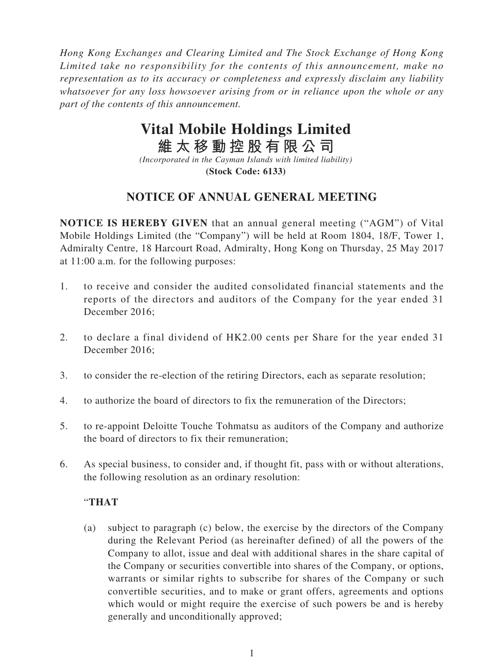*Hong Kong Exchanges and Clearing Limited and The Stock Exchange of Hong Kong Limited take no responsibility for the contents of this announcement, make no representation as to its accuracy or completeness and expressly disclaim any liability whatsoever for any loss howsoever arising from or in reliance upon the whole or any part of the contents of this announcement.*

## **Vital Mobile Holdings Limited**

**維太移動控股有限公司**

*(Incorporated in the Cayman Islands with limited liability)* **(Stock Code: 6133)**

## **NOTICE OF ANNUAL GENERAL MEETING**

**NOTICE IS HEREBY GIVEN** that an annual general meeting ("AGM") of Vital Mobile Holdings Limited (the "Company") will be held at Room 1804, 18/F, Tower 1, Admiralty Centre, 18 Harcourt Road, Admiralty, Hong Kong on Thursday, 25 May 2017 at 11:00 a.m. for the following purposes:

- 1. to receive and consider the audited consolidated financial statements and the reports of the directors and auditors of the Company for the year ended 31 December 2016;
- 2. to declare a final dividend of HK2.00 cents per Share for the year ended 31 December 2016;
- 3. to consider the re-election of the retiring Directors, each as separate resolution;
- 4. to authorize the board of directors to fix the remuneration of the Directors;
- 5. to re-appoint Deloitte Touche Tohmatsu as auditors of the Company and authorize the board of directors to fix their remuneration;
- 6. As special business, to consider and, if thought fit, pass with or without alterations, the following resolution as an ordinary resolution:

## "**THAT**

(a) subject to paragraph (c) below, the exercise by the directors of the Company during the Relevant Period (as hereinafter defined) of all the powers of the Company to allot, issue and deal with additional shares in the share capital of the Company or securities convertible into shares of the Company, or options, warrants or similar rights to subscribe for shares of the Company or such convertible securities, and to make or grant offers, agreements and options which would or might require the exercise of such powers be and is hereby generally and unconditionally approved;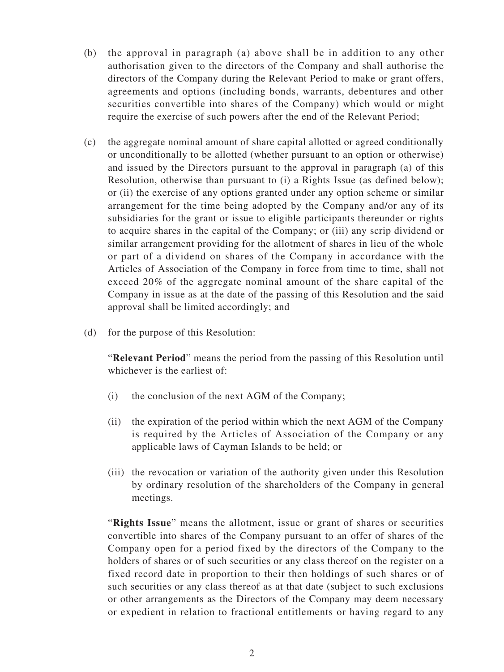- (b) the approval in paragraph (a) above shall be in addition to any other authorisation given to the directors of the Company and shall authorise the directors of the Company during the Relevant Period to make or grant offers, agreements and options (including bonds, warrants, debentures and other securities convertible into shares of the Company) which would or might require the exercise of such powers after the end of the Relevant Period;
- (c) the aggregate nominal amount of share capital allotted or agreed conditionally or unconditionally to be allotted (whether pursuant to an option or otherwise) and issued by the Directors pursuant to the approval in paragraph (a) of this Resolution, otherwise than pursuant to (i) a Rights Issue (as defined below); or (ii) the exercise of any options granted under any option scheme or similar arrangement for the time being adopted by the Company and/or any of its subsidiaries for the grant or issue to eligible participants thereunder or rights to acquire shares in the capital of the Company; or (iii) any scrip dividend or similar arrangement providing for the allotment of shares in lieu of the whole or part of a dividend on shares of the Company in accordance with the Articles of Association of the Company in force from time to time, shall not exceed 20% of the aggregate nominal amount of the share capital of the Company in issue as at the date of the passing of this Resolution and the said approval shall be limited accordingly; and
- (d) for the purpose of this Resolution:

"**Relevant Period**" means the period from the passing of this Resolution until whichever is the earliest of:

- (i) the conclusion of the next AGM of the Company;
- (ii) the expiration of the period within which the next AGM of the Company is required by the Articles of Association of the Company or any applicable laws of Cayman Islands to be held; or
- (iii) the revocation or variation of the authority given under this Resolution by ordinary resolution of the shareholders of the Company in general meetings.

"**Rights Issue**" means the allotment, issue or grant of shares or securities convertible into shares of the Company pursuant to an offer of shares of the Company open for a period fixed by the directors of the Company to the holders of shares or of such securities or any class thereof on the register on a fixed record date in proportion to their then holdings of such shares or of such securities or any class thereof as at that date (subject to such exclusions or other arrangements as the Directors of the Company may deem necessary or expedient in relation to fractional entitlements or having regard to any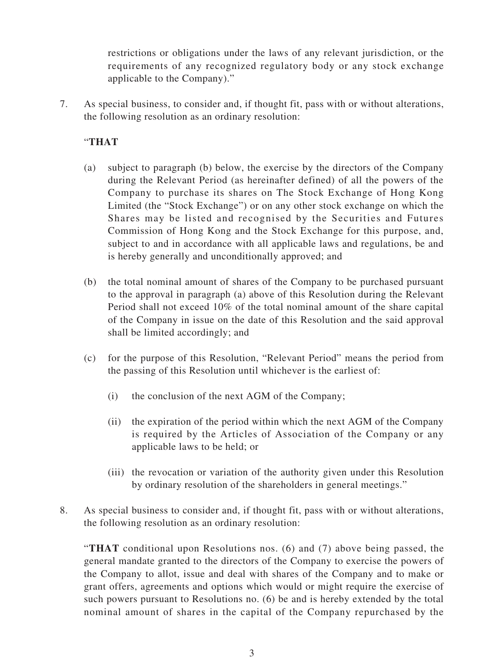restrictions or obligations under the laws of any relevant jurisdiction, or the requirements of any recognized regulatory body or any stock exchange applicable to the Company)."

7. As special business, to consider and, if thought fit, pass with or without alterations, the following resolution as an ordinary resolution:

## "**THAT**

- (a) subject to paragraph (b) below, the exercise by the directors of the Company during the Relevant Period (as hereinafter defined) of all the powers of the Company to purchase its shares on The Stock Exchange of Hong Kong Limited (the "Stock Exchange") or on any other stock exchange on which the Shares may be listed and recognised by the Securities and Futures Commission of Hong Kong and the Stock Exchange for this purpose, and, subject to and in accordance with all applicable laws and regulations, be and is hereby generally and unconditionally approved; and
- (b) the total nominal amount of shares of the Company to be purchased pursuant to the approval in paragraph (a) above of this Resolution during the Relevant Period shall not exceed 10% of the total nominal amount of the share capital of the Company in issue on the date of this Resolution and the said approval shall be limited accordingly; and
- (c) for the purpose of this Resolution, "Relevant Period" means the period from the passing of this Resolution until whichever is the earliest of:
	- (i) the conclusion of the next AGM of the Company;
	- (ii) the expiration of the period within which the next AGM of the Company is required by the Articles of Association of the Company or any applicable laws to be held; or
	- (iii) the revocation or variation of the authority given under this Resolution by ordinary resolution of the shareholders in general meetings."
- 8. As special business to consider and, if thought fit, pass with or without alterations, the following resolution as an ordinary resolution:

"**THAT** conditional upon Resolutions nos. (6) and (7) above being passed, the general mandate granted to the directors of the Company to exercise the powers of the Company to allot, issue and deal with shares of the Company and to make or grant offers, agreements and options which would or might require the exercise of such powers pursuant to Resolutions no. (6) be and is hereby extended by the total nominal amount of shares in the capital of the Company repurchased by the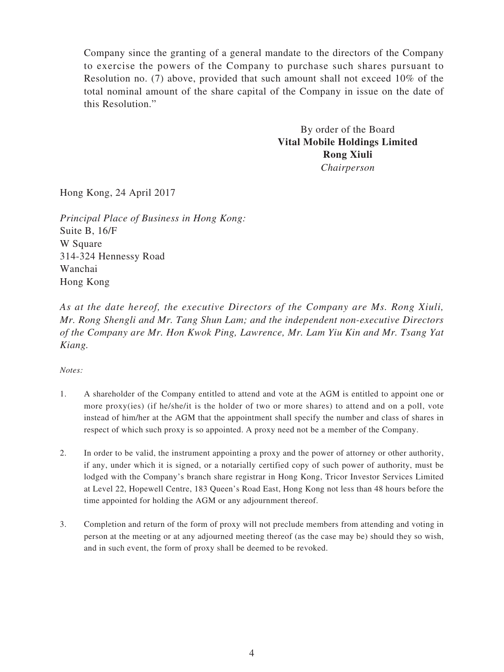Company since the granting of a general mandate to the directors of the Company to exercise the powers of the Company to purchase such shares pursuant to Resolution no. (7) above, provided that such amount shall not exceed 10% of the total nominal amount of the share capital of the Company in issue on the date of this Resolution."

> By order of the Board **Vital Mobile Holdings Limited Rong Xiuli** *Chairperson*

Hong Kong, 24 April 2017

*Principal Place of Business in Hong Kong:* Suite B, 16/F W Square 314-324 Hennessy Road Wanchai Hong Kong

*As at the date hereof, the executive Directors of the Company are Ms. Rong Xiuli, Mr. Rong Shengli and Mr. Tang Shun Lam; and the independent non-executive Directors of the Company are Mr. Hon Kwok Ping, Lawrence, Mr. Lam Yiu Kin and Mr. Tsang Yat Kiang.*

*Notes:*

- 1. A shareholder of the Company entitled to attend and vote at the AGM is entitled to appoint one or more proxy(ies) (if he/she/it is the holder of two or more shares) to attend and on a poll, vote instead of him/her at the AGM that the appointment shall specify the number and class of shares in respect of which such proxy is so appointed. A proxy need not be a member of the Company.
- 2. In order to be valid, the instrument appointing a proxy and the power of attorney or other authority, if any, under which it is signed, or a notarially certified copy of such power of authority, must be lodged with the Company's branch share registrar in Hong Kong, Tricor Investor Services Limited at Level 22, Hopewell Centre, 183 Queen's Road East, Hong Kong not less than 48 hours before the time appointed for holding the AGM or any adjournment thereof.
- 3. Completion and return of the form of proxy will not preclude members from attending and voting in person at the meeting or at any adjourned meeting thereof (as the case may be) should they so wish, and in such event, the form of proxy shall be deemed to be revoked.